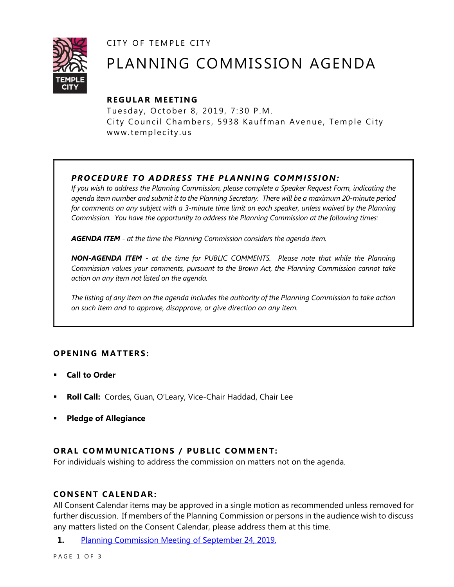CITY OF TEMPLE CITY



# PLANNING COMMISSION AGENDA

# **R EGULA R MEE TING**

Tuesday, October 8, 2019, 7:30 P.M. City Council Chambers, 5938 Kauffman Avenue, Temple City www.templecity.us

# *PRO CE DURE TO ADDRE SS THE P LA NNI NG COMM I SSION:*

*If you wish to address the Planning Commission, please complete a Speaker Request Form, indicating the agenda item number and submit it to the Planning Secretary. There will be a maximum 20-minute period*  for comments on any subject with a 3-minute time limit on each speaker, unless waived by the Planning *Commission. You have the opportunity to address the Planning Commission at the following times:*

*AGENDA ITEM - at the time the Planning Commission considers the agenda item.*

*NON-AGENDA ITEM - at the time for PUBLIC COMMENTS. Please note that while the Planning Commission values your comments, pursuant to the Brown Act, the Planning Commission cannot take action on any item not listed on the agenda.*

*The listing of any item on the agenda includes the authority of the Planning Commission to take action on such item and to approve, disapprove, or give direction on any item.*

# **OPENING MATTERS:**

- **Call to Order**
- **Roll Call:** Cordes, Guan, O'Leary, Vice-Chair Haddad, Chair Lee
- **Pledge of Allegiance**

# **ORAL COMMUNICATIONS / PUBLIC COMMENT:**

For individuals wishing to address the commission on matters not on the agenda.

#### **CONSENT CA LENDAR:**

All Consent Calendar items may be approved in a single motion as recommended unless removed for further discussion. If members of the Planning Commission or persons in the audience wish to discuss any matters listed on the Consent Calendar, please address them at this time.

**1.** [Planning Commission Meeting of September 24, 2019.](https://www.ci.temple-city.ca.us/DocumentCenter/View/13248/PCM-09-24-2019)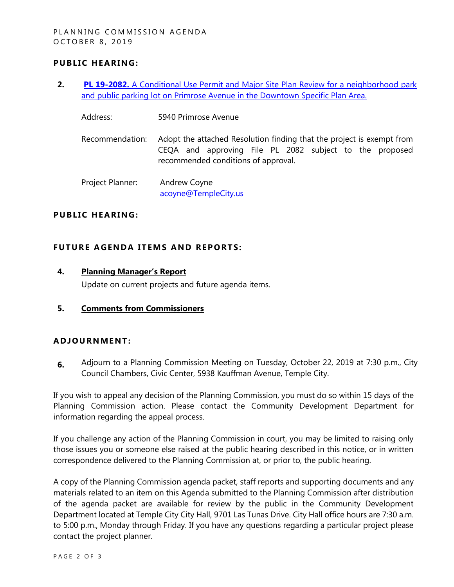### **PUBLIC HEARING:**

- **2. PL 19-2082.** [A Conditional Use Permit and Major Site Plan Review for a neighborhood park](https://www.ci.temple-city.ca.us/DocumentCenter/View/13247/PC-Staff-Report-5940-Primrose-Avenue_Combined)  [and public parking lot on Primrose Avenue in the Downtown Specific Plan Area.](https://www.ci.temple-city.ca.us/DocumentCenter/View/13247/PC-Staff-Report-5940-Primrose-Avenue_Combined)
	- Address: 5940 Primrose Avenue
	- Recommendation: Adopt the attached Resolution finding that the project is exempt from CEQA and approving File PL 2082 subject to the proposed recommended conditions of approval.

Project Planner: Andrew Coyne acoyne@TempleCity.us

#### **PUBLIC HEARING:**

#### **FUTURE AGENDA ITEMS AND REPORTS:**

#### **4. Planning Manager's Report**

Update on current projects and future agenda items.

**5. Comments from Commissioners**

#### **ADJOU RNMENT:**

**6.** Adjourn to a Planning Commission Meeting on Tuesday, October 22, 2019 at 7:30 p.m., City Council Chambers, Civic Center, 5938 Kauffman Avenue, Temple City.

If you wish to appeal any decision of the Planning Commission, you must do so within 15 days of the Planning Commission action. Please contact the Community Development Department for information regarding the appeal process.

If you challenge any action of the Planning Commission in court, you may be limited to raising only those issues you or someone else raised at the public hearing described in this notice, or in written correspondence delivered to the Planning Commission at, or prior to, the public hearing.

A copy of the Planning Commission agenda packet, staff reports and supporting documents and any materials related to an item on this Agenda submitted to the Planning Commission after distribution of the agenda packet are available for review by the public in the Community Development Department located at Temple City City Hall, 9701 Las Tunas Drive. City Hall office hours are 7:30 a.m. to 5:00 p.m., Monday through Friday. If you have any questions regarding a particular project please contact the project planner.